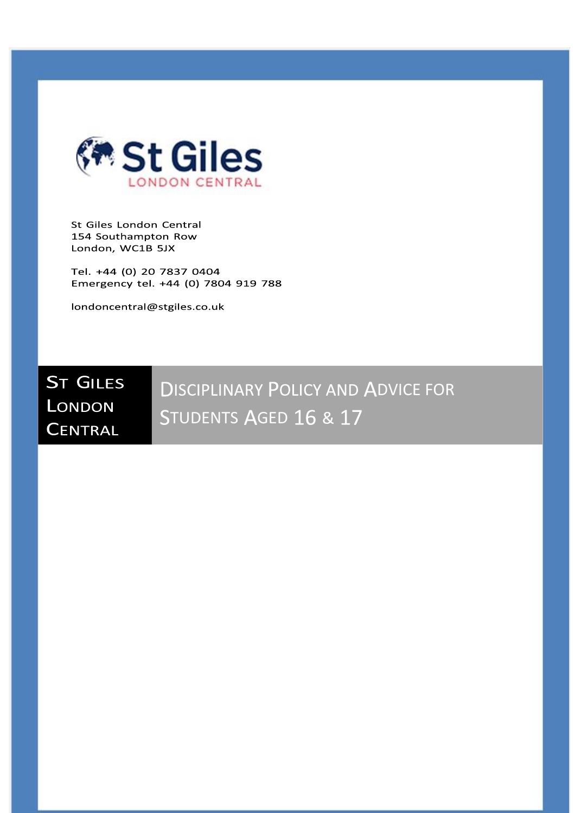

St Giles London Central 154 Southampton Row London, WC1B 5JX

Tel. +44 (0) 20 7837 0404 Emergency tel. +44 (0) 7804 919 788

londoncentral@stgiles.co.uk

# **ST GILES** LONDON **CENTRAL**

**DISCIPLINARY POLICY AND ADVICE FOR** STUDENTS AGED 16 & 17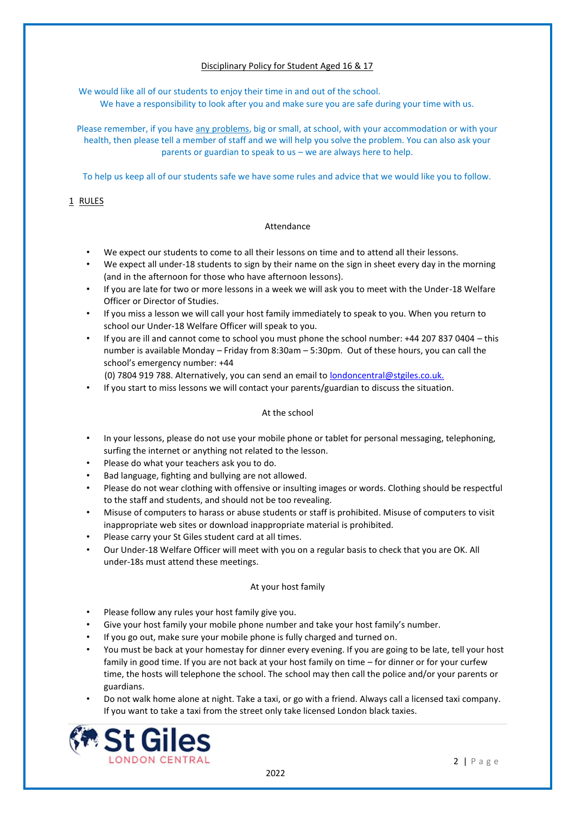# Disciplinary Policy for Student Aged 16 & 17

We would like all of our students to enjoy their time in and out of the school. We have a responsibility to look after you and make sure you are safe during your time with us.

Please remember, if you have any problems, big or small, at school, with your accommodation or with your health, then please tell a member of staff and we will help you solve the problem. You can also ask your parents or guardian to speak to us – we are always here to help.

To help us keep all of our students safe we have some rules and advice that we would like you to follow.

# 1 RULES

# Attendance

- We expect our students to come to all their lessons on time and to attend all their lessons.
- We expect all under-18 students to sign by their name on the sign in sheet every day in the morning (and in the afternoon for those who have afternoon lessons).
- If you are late for two or more lessons in a week we will ask you to meet with the Under-18 Welfare Officer or Director of Studies.
- If you miss a lesson we will call your host family immediately to speak to you. When you return to school our Under-18 Welfare Officer will speak to you.
- If you are ill and cannot come to school you must phone the school number: +44 207 837 0404 this number is available Monday – Friday from 8:30am – 5:30pm. Out of these hours, you can call the school's emergency number: +44
	- (0) 7804 919 788. Alternatively, you can send an email to londoncentral@stgiles.co.uk.
- If you start to miss lessons we will contact your parents/guardian to discuss the situation.

### At the school

- In your lessons, please do not use your mobile phone or tablet for personal messaging, telephoning, surfing the internet or anything not related to the lesson.
- Please do what your teachers ask you to do.
- Bad language, fighting and bullying are not allowed.
- Please do not wear clothing with offensive or insulting images or words. Clothing should be respectful to the staff and students, and should not be too revealing.
- Misuse of computers to harass or abuse students or staff is prohibited. Misuse of computers to visit inappropriate web sites or download inappropriate material is prohibited.
- Please carry your St Giles student card at all times.
- Our Under-18 Welfare Officer will meet with you on a regular basis to check that you are OK. All under-18s must attend these meetings.

#### At your host family

- Please follow any rules your host family give you.
- Give your host family your mobile phone number and take your host family's number.
- If you go out, make sure your mobile phone is fully charged and turned on.
- You must be back at your homestay for dinner every evening. If you are going to be late, tell your host family in good time. If you are not back at your host family on time – for dinner or for your curfew time, the hosts will telephone the school. The school may then call the police and/or your parents or guardians.
- Do not walk home alone at night. Take a taxi, or go with a friend. Always call a licensed taxi company. If you want to take a taxi from the street only take licensed London black taxies.

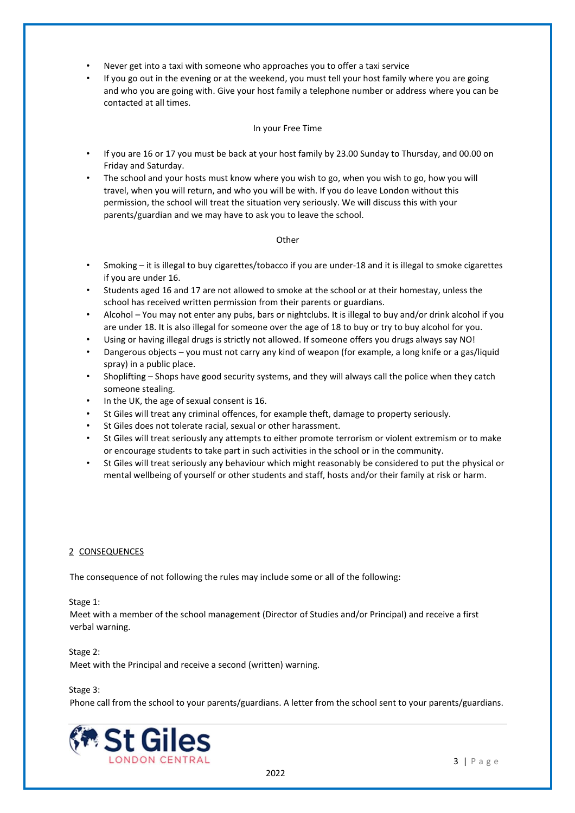- Never get into a taxi with someone who approaches you to offer a taxi service
- If you go out in the evening or at the weekend, you must tell your host family where you are going and who you are going with. Give your host family a telephone number or address where you can be contacted at all times.

### In your Free Time

- If you are 16 or 17 you must be back at your host family by 23.00 Sunday to Thursday, and 00.00 on Friday and Saturday.
- The school and your hosts must know where you wish to go, when you wish to go, how you will travel, when you will return, and who you will be with. If you do leave London without this permission, the school will treat the situation very seriously. We will discuss this with your parents/guardian and we may have to ask you to leave the school.

## **Other**

- Smoking it is illegal to buy cigarettes/tobacco if you are under-18 and it is illegal to smoke cigarettes if you are under 16.
- Students aged 16 and 17 are not allowed to smoke at the school or at their homestay, unless the school has received written permission from their parents or guardians.
- Alcohol You may not enter any pubs, bars or nightclubs. It is illegal to buy and/or drink alcohol if you are under 18. It is also illegal for someone over the age of 18 to buy or try to buy alcohol for you.
- Using or having illegal drugs is strictly not allowed. If someone offers you drugs always say NO!
- Dangerous objects you must not carry any kind of weapon (for example, a long knife or a gas/liquid spray) in a public place.
- Shoplifting Shops have good security systems, and they will always call the police when they catch someone stealing.
- In the UK, the age of sexual consent is 16.
- St Giles will treat any criminal offences, for example theft, damage to property seriously.
- St Giles does not tolerate racial, sexual or other harassment.
- St Giles will treat seriously any attempts to either promote terrorism or violent extremism or to make or encourage students to take part in such activities in the school or in the community.
- St Giles will treat seriously any behaviour which might reasonably be considered to put the physical or mental wellbeing of yourself or other students and staff, hosts and/or their family at risk or harm.

#### 2 CONSEQUENCES

The consequence of not following the rules may include some or all of the following:

#### Stage 1:

Meet with a member of the school management (Director of Studies and/or Principal) and receive a first verbal warning.

#### Stage 2:

Meet with the Principal and receive a second (written) warning.

#### Stage 3:

Phone call from the school to your parents/guardians. A letter from the school sent to your parents/guardians.